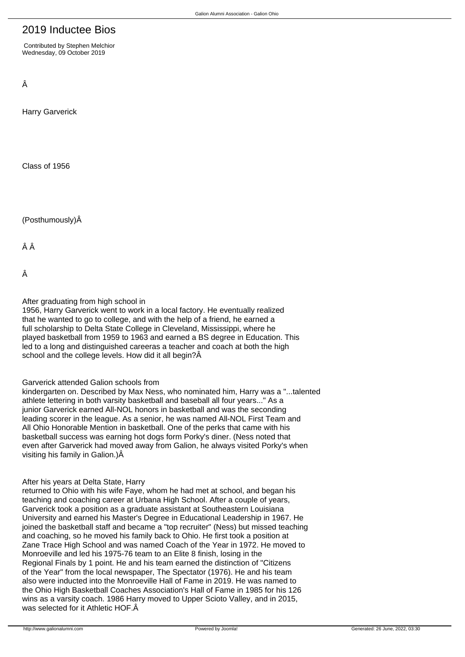# 2019 Inductee Bios

 Contributed by Stephen Melchior Wednesday, 09 October 2019

Â

Harry Garverick

Class of 1956

(Posthumously)Â

ÂÂ

Â

After graduating from high school in

1956, Harry Garverick went to work in a local factory. He eventually realized that he wanted to go to college, and with the help of a friend, he earned a full scholarship to Delta State College in Cleveland, Mississippi, where he played basketball from 1959 to 1963 and earned a BS degree in Education. This led to a long and distinguished careeras a teacher and coach at both the high school and the college levels. How did it all begin? $\hat{A}$ 

# Garverick attended Galion schools from

kindergarten on. Described by Max Ness, who nominated him, Harry was a "...talented athlete lettering in both varsity basketball and baseball all four years..." As a junior Garverick earned All-NOL honors in basketball and was the seconding leading scorer in the league. As a senior, he was named All-NOL First Team and All Ohio Honorable Mention in basketball. One of the perks that came with his basketball success was earning hot dogs form Porky's diner. (Ness noted that even after Garverick had moved away from Galion, he always visited Porky's when visiting his family in Galion.)Â

# After his years at Delta State, Harry

returned to Ohio with his wife Faye, whom he had met at school, and began his teaching and coaching career at Urbana High School. After a couple of years, Garverick took a position as a graduate assistant at Southeastern Louisiana University and earned his Master's Degree in Educational Leadership in 1967. He joined the basketball staff and became a "top recruiter" (Ness) but missed teaching and coaching, so he moved his family back to Ohio. He first took a position at Zane Trace High School and was named Coach of the Year in 1972. He moved to Monroeville and led his 1975-76 team to an Elite 8 finish, losing in the Regional Finals by 1 point. He and his team earned the distinction of "Citizens of the Year" from the local newspaper, The Spectator (1976). He and his team also were inducted into the Monroeville Hall of Fame in 2019. He was named to the Ohio High Basketball Coaches Association's Hall of Fame in 1985 for his 126 wins as a varsity coach. 1986 Harry moved to Upper Scioto Valley, and in 2015, was selected for it Athletic HOF. Â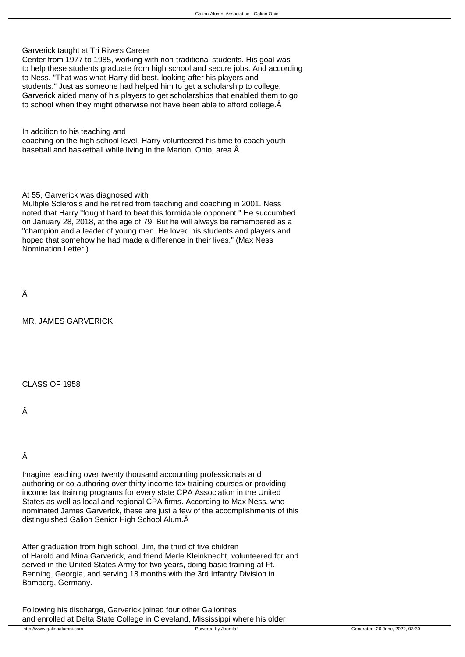Garverick taught at Tri Rivers Career

Center from 1977 to 1985, working with non-traditional students. His goal was to help these students graduate from high school and secure jobs. And according to Ness, "That was what Harry did best, looking after his players and students." Just as someone had helped him to get a scholarship to college, Garverick aided many of his players to get scholarships that enabled them to go to school when they might otherwise not have been able to afford college.

In addition to his teaching and

coaching on the high school level, Harry volunteered his time to coach youth baseball and basketball while living in the Marion, Ohio, area. Â

At 55, Garverick was diagnosed with

Multiple Sclerosis and he retired from teaching and coaching in 2001. Ness noted that Harry "fought hard to beat this formidable opponent." He succumbed on January 28, 2018, at the age of 79. But he will always be remembered as a "champion and a leader of young men. He loved his students and players and hoped that somehow he had made a difference in their lives." (Max Ness Nomination Letter.)

Â

MR. JAMES GARVERICK

CLASS OF 1958

Â

Â

Imagine teaching over twenty thousand accounting professionals and authoring or co-authoring over thirty income tax training courses or providing income tax training programs for every state CPA Association in the United States as well as local and regional CPA firms. According to Max Ness, who nominated James Garverick, these are just a few of the accomplishments of this distinguished Galion Senior High School Alum.

After graduation from high school, Jim, the third of five children of Harold and Mina Garverick, and friend Merle Kleinknecht, volunteered for and served in the United States Army for two years, doing basic training at Ft. Benning, Georgia, and serving 18 months with the 3rd Infantry Division in Bamberg, Germany.

Following his discharge, Garverick joined four other Galionites and enrolled at Delta State College in Cleveland, Mississippi where his older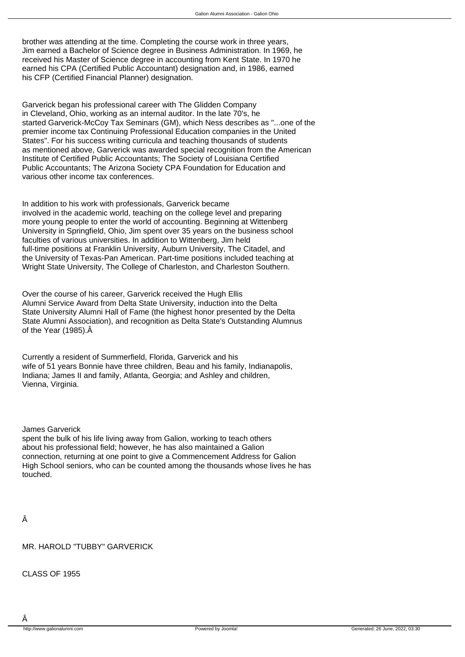brother was attending at the time. Completing the course work in three years, Jim earned a Bachelor of Science degree in Business Administration. In 1969, he received his Master of Science degree in accounting from Kent State. In 1970 he earned his CPA (Certified Public Accountant) designation and, in 1986, earned his CFP (Certified Financial Planner) designation.

Garverick began his professional career with The Glidden Company in Cleveland, Ohio, working as an internal auditor. In the late 70's, he started Garverick-McCoy Tax Seminars (GM), which Ness describes as "...one of the premier income tax Continuing Professional Education companies in the United States". For his success writing curricula and teaching thousands of students as mentioned above, Garverick was awarded special recognition from the American Institute of Certified Public Accountants; The Society of Louisiana Certified Public Accountants; The Arizona Society CPA Foundation for Education and various other income tax conferences.

In addition to his work with professionals, Garverick became involved in the academic world, teaching on the college level and preparing more young people to enter the world of accounting. Beginning at Wittenberg University in Springfield, Ohio, Jim spent over 35 years on the business school faculties of various universities. In addition to Wittenberg, Jim held full-time positions at Franklin University, Auburn University, The Citadel, and the University of Texas-Pan American. Part-time positions included teaching at Wright State University, The College of Charleston, and Charleston Southern.

Over the course of his career, Garverick received the Hugh Ellis Alumni Service Award from Delta State University, induction into the Delta State University Alumni Hall of Fame (the highest honor presented by the Delta State Alumni Association), and recognition as Delta State's Outstanding Alumnus of the Year (1985). Â

Currently a resident of Summerfield, Florida, Garverick and his wife of 51 years Bonnie have three children, Beau and his family, Indianapolis, Indiana; James II and family, Atlanta, Georgia; and Ashley and children, Vienna, Virginia.

James Garverick

spent the bulk of his life living away from Galion, working to teach others about his professional field; however, he has also maintained a Galion connection, returning at one point to give a Commencement Address for Galion High School seniors, who can be counted among the thousands whose lives he has touched.

MR. HAROLD "TUBBY" GARVERICK

CLASS OF 1955

Â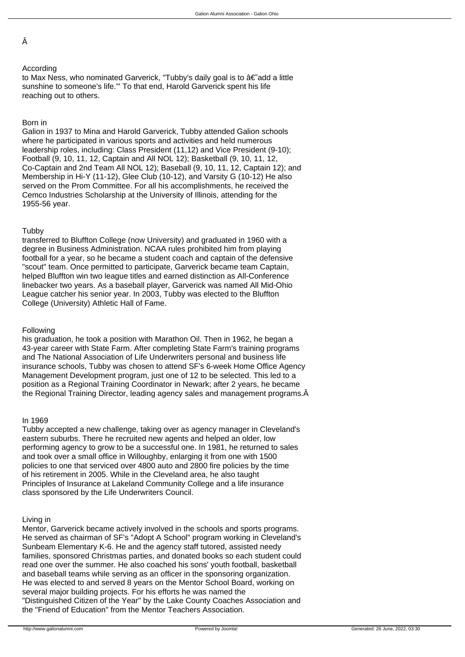Â

# According

to Max Ness, who nominated Garverick, "Tubby's daily goal is to  $\hat{a} \in \hat{a}$  add a little sunshine to someone's life.'" To that end, Harold Garverick spent his life reaching out to others.

# Born in

Galion in 1937 to Mina and Harold Garverick, Tubby attended Galion schools where he participated in various sports and activities and held numerous leadership roles, including: Class President (11,12) and Vice President (9-10); Football (9, 10, 11, 12, Captain and All NOL 12); Basketball (9, 10, 11, 12, Co-Captain and 2nd Team All NOL 12); Baseball (9, 10, 11, 12, Captain 12); and Membership in Hi-Y (11-12), Glee Club (10-12), and Varsity G (10-12) He also served on the Prom Committee. For all his accomplishments, he received the Cemco Industries Scholarship at the University of Illinois, attending for the 1955-56 year.

# Tubby

transferred to Bluffton College (now University) and graduated in 1960 with a degree in Business Administration. NCAA rules prohibited him from playing football for a year, so he became a student coach and captain of the defensive "scout" team. Once permitted to participate, Garverick became team Captain, helped Bluffton win two league titles and earned distinction as All-Conference linebacker two years. As a baseball player, Garverick was named All Mid-Ohio League catcher his senior year. In 2003, Tubby was elected to the Bluffton College (University) Athletic Hall of Fame.

# Following

his graduation, he took a position with Marathon Oil. Then in 1962, he began a 43-year career with State Farm. After completing State Farm's training programs and The National Association of Life Underwriters personal and business life insurance schools, Tubby was chosen to attend SF's 6-week Home Office Agency Management Development program, just one of 12 to be selected. This led to a position as a Regional Training Coordinator in Newark; after 2 years, he became the Regional Training Director, leading agency sales and management programs.

# In 1969

Tubby accepted a new challenge, taking over as agency manager in Cleveland's eastern suburbs. There he recruited new agents and helped an older, low performing agency to grow to be a successful one. In 1981, he returned to sales and took over a small office in Willoughby, enlarging it from one with 1500 policies to one that serviced over 4800 auto and 2800 fire policies by the time of his retirement in 2005. While in the Cleveland area, he also taught Principles of Insurance at Lakeland Community College and a life insurance class sponsored by the Life Underwriters Council.

# Living in

Mentor, Garverick became actively involved in the schools and sports programs. He served as chairman of SF's "Adopt A School" program working in Cleveland's Sunbeam Elementary K-6. He and the agency staff tutored, assisted needy families, sponsored Christmas parties, and donated books so each student could read one over the summer. He also coached his sons' youth football, basketball and baseball teams while serving as an officer in the sponsoring organization. He was elected to and served 8 years on the Mentor School Board, working on several major building projects. For his efforts he was named the "Distinguished Citizen of the Year" by the Lake County Coaches Association and the "Friend of Education" from the Mentor Teachers Association.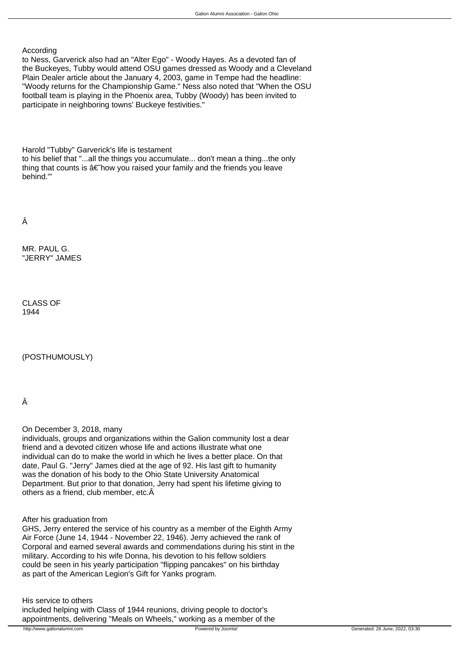### According

to Ness, Garverick also had an "Alter Ego" - Woody Hayes. As a devoted fan of the Buckeyes, Tubby would attend OSU games dressed as Woody and a Cleveland Plain Dealer article about the January 4, 2003, game in Tempe had the headline: "Woody returns for the Championship Game." Ness also noted that "When the OSU football team is playing in the Phoenix area, Tubby (Woody) has been invited to participate in neighboring towns' Buckeye festivities."

Harold "Tubby" Garverick's life is testament to his belief that "...all the things you accumulate... don't mean a thing...the only thing that counts is  $a \in \text{how you raised your family and the friends you leave}$ behind.'"

Â

MR. PAUL G. "JERRY" JAMES

CLASS OF 1944

(POSTHUMOUSLY)

Â

On December 3, 2018, many

individuals, groups and organizations within the Galion community lost a dear friend and a devoted citizen whose life and actions illustrate what one individual can do to make the world in which he lives a better place. On that date, Paul G. "Jerry" James died at the age of 92. His last gift to humanity was the donation of his body to the Ohio State University Anatomical Department. But prior to that donation, Jerry had spent his lifetime giving to others as a friend, club member, etc. $\hat{A}$ 

After his graduation from

GHS, Jerry entered the service of his country as a member of the Eighth Army Air Force (June 14, 1944 - November 22, 1946). Jerry achieved the rank of Corporal and earned several awards and commendations during his stint in the military. According to his wife Donna, his devotion to his fellow soldiers could be seen in his yearly participation "flipping pancakes" on his birthday as part of the American Legion's Gift for Yanks program.

His service to others included helping with Class of 1944 reunions, driving people to doctor's appointments, delivering "Meals on Wheels," working as a member of the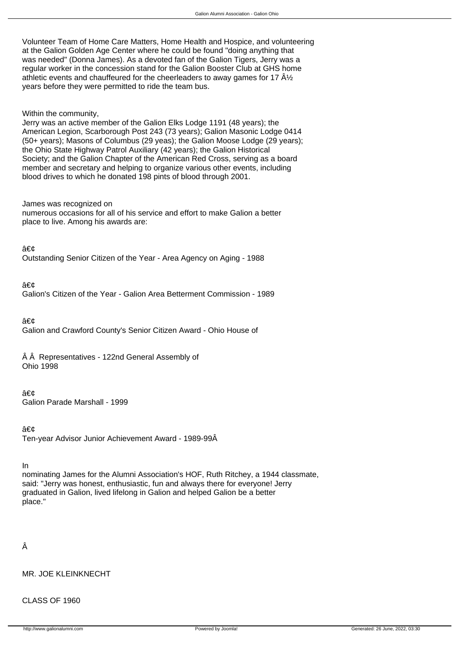Volunteer Team of Home Care Matters, Home Health and Hospice, and volunteering at the Galion Golden Age Center where he could be found "doing anything that was needed" (Donna James). As a devoted fan of the Galion Tigers, Jerry was a regular worker in the concession stand for the Galion Booster Club at GHS home athletic events and chauffeured for the cheerleaders to away games for 17  $\rm \hat{A}\%$ years before they were permitted to ride the team bus.

### Within the community,

Jerry was an active member of the Galion Elks Lodge 1191 (48 years); the American Legion, Scarborough Post 243 (73 years); Galion Masonic Lodge 0414 (50+ years); Masons of Columbus (29 yeas); the Galion Moose Lodge (29 years); the Ohio State Highway Patrol Auxiliary (42 years); the Galion Historical Society; and the Galion Chapter of the American Red Cross, serving as a board member and secretary and helping to organize various other events, including blood drives to which he donated 198 pints of blood through 2001.

#### James was recognized on

numerous occasions for all of his service and effort to make Galion a better place to live. Among his awards are:

• Outstanding Senior Citizen of the Year - Area Agency on Aging - 1988

•

Galion's Citizen of the Year - Galion Area Betterment Commission - 1989

• Galion and Crawford County's Senior Citizen Award - Ohio House of

 $\hat{A}$   $\hat{A}$  Representatives - 122nd General Assembly of Ohio 1998

### •

Galion Parade Marshall - 1999

• Ten-year Advisor Junior Achievement Award - 1989-99Â

In

nominating James for the Alumni Association's HOF, Ruth Ritchey, a 1944 classmate, said: "Jerry was honest, enthusiastic, fun and always there for everyone! Jerry graduated in Galion, lived lifelong in Galion and helped Galion be a better place."

# Â

MR. JOE KLEINKNECHT

CLASS OF 1960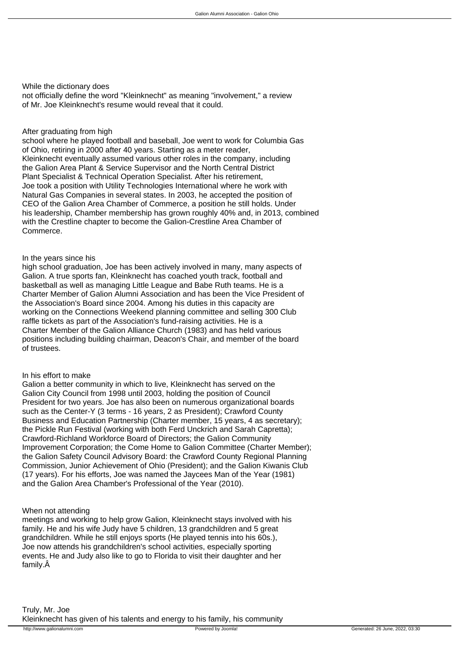While the dictionary does

not officially define the word "Kleinknecht" as meaning "involvement," a review of Mr. Joe Kleinknecht's resume would reveal that it could.

# After graduating from high

school where he played football and baseball, Joe went to work for Columbia Gas of Ohio, retiring in 2000 after 40 years. Starting as a meter reader, Kleinknecht eventually assumed various other roles in the company, including the Galion Area Plant & Service Supervisor and the North Central District Plant Specialist & Technical Operation Specialist. After his retirement, Joe took a position with Utility Technologies International where he work with Natural Gas Companies in several states. In 2003, he accepted the position of CEO of the Galion Area Chamber of Commerce, a position he still holds. Under his leadership, Chamber membership has grown roughly 40% and, in 2013, combined with the Crestline chapter to become the Galion-Crestline Area Chamber of Commerce.

# In the years since his

high school graduation, Joe has been actively involved in many, many aspects of Galion. A true sports fan, Kleinknecht has coached youth track, football and basketball as well as managing Little League and Babe Ruth teams. He is a Charter Member of Galion Alumni Association and has been the Vice President of the Association's Board since 2004. Among his duties in this capacity are working on the Connections Weekend planning committee and selling 300 Club raffle tickets as part of the Association's fund-raising activities. He is a Charter Member of the Galion Alliance Church (1983) and has held various positions including building chairman, Deacon's Chair, and member of the board of trustees.

# In his effort to make

Galion a better community in which to live, Kleinknecht has served on the Galion City Council from 1998 until 2003, holding the position of Council President for two years. Joe has also been on numerous organizational boards such as the Center-Y (3 terms - 16 years, 2 as President); Crawford County Business and Education Partnership (Charter member, 15 years, 4 as secretary); the Pickle Run Festival (working with both Ferd Unckrich and Sarah Capretta); Crawford-Richland Workforce Board of Directors; the Galion Community Improvement Corporation; the Come Home to Galion Committee (Charter Member); the Galion Safety Council Advisory Board: the Crawford County Regional Planning Commission, Junior Achievement of Ohio (President); and the Galion Kiwanis Club (17 years). For his efforts, Joe was named the Jaycees Man of the Year (1981) and the Galion Area Chamber's Professional of the Year (2010).

# When not attending

meetings and working to help grow Galion, Kleinknecht stays involved with his family. He and his wife Judy have 5 children, 13 grandchildren and 5 great grandchildren. While he still enjoys sports (He played tennis into his 60s.), Joe now attends his grandchildren's school activities, especially sporting events. He and Judy also like to go to Florida to visit their daughter and her family.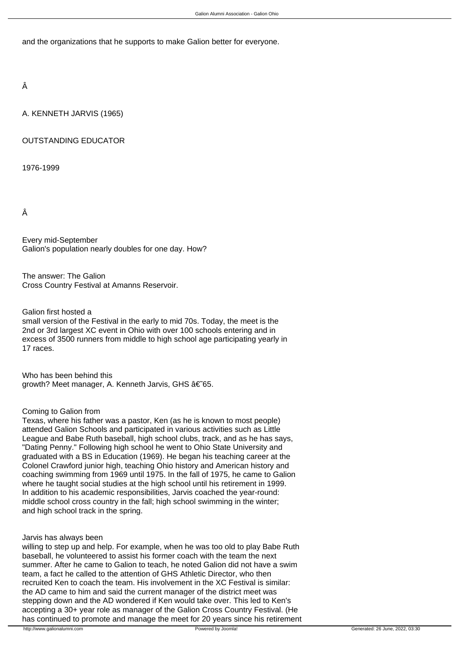and the organizations that he supports to make Galion better for everyone.

Â

A. KENNETH JARVIS (1965)

# OUTSTANDING EDUCATOR

1976-1999

Â

Every mid-September Galion's population nearly doubles for one day. How?

The answer: The Galion Cross Country Festival at Amanns Reservoir.

Galion first hosted a

small version of the Festival in the early to mid 70s. Today, the meet is the 2nd or 3rd largest XC event in Ohio with over 100 schools entering and in excess of 3500 runners from middle to high school age participating yearly in 17 races.

Who has been behind this growth? Meet manager, A. Kenneth Jarvis, GHS †65.

### Coming to Galion from

Texas, where his father was a pastor, Ken (as he is known to most people) attended Galion Schools and participated in various activities such as Little League and Babe Ruth baseball, high school clubs, track, and as he has says, "Dating Penny." Following high school he went to Ohio State University and graduated with a BS in Education (1969). He began his teaching career at the Colonel Crawford junior high, teaching Ohio history and American history and coaching swimming from 1969 until 1975. In the fall of 1975, he came to Galion where he taught social studies at the high school until his retirement in 1999. In addition to his academic responsibilities, Jarvis coached the year-round: middle school cross country in the fall; high school swimming in the winter; and high school track in the spring.

### Jarvis has always been

willing to step up and help. For example, when he was too old to play Babe Ruth baseball, he volunteered to assist his former coach with the team the next summer. After he came to Galion to teach, he noted Galion did not have a swim team, a fact he called to the attention of GHS Athletic Director, who then recruited Ken to coach the team. His involvement in the XC Festival is similar: the AD came to him and said the current manager of the district meet was stepping down and the AD wondered if Ken would take over. This led to Ken's accepting a 30+ year role as manager of the Galion Cross Country Festival. (He has continued to promote and manage the meet for 20 years since his retirement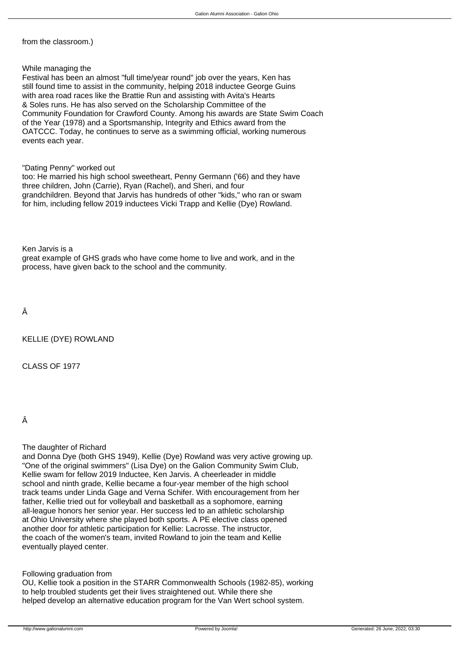from the classroom.)

# While managing the

Festival has been an almost "full time/year round" job over the years, Ken has still found time to assist in the community, helping 2018 inductee George Guins with area road races like the Brattie Run and assisting with Avita's Hearts & Soles runs. He has also served on the Scholarship Committee of the Community Foundation for Crawford County. Among his awards are State Swim Coach of the Year (1978) and a Sportsmanship, Integrity and Ethics award from the OATCCC. Today, he continues to serve as a swimming official, working numerous events each year.

"Dating Penny" worked out

too: He married his high school sweetheart, Penny Germann ('66) and they have three children, John (Carrie), Ryan (Rachel), and Sheri, and four grandchildren. Beyond that Jarvis has hundreds of other "kids," who ran or swam for him, including fellow 2019 inductees Vicki Trapp and Kellie (Dye) Rowland.

Ken Jarvis is a

great example of GHS grads who have come home to live and work, and in the process, have given back to the school and the community.

Â

KELLIE (DYE) ROWLAND

CLASS OF 1977

Â

The daughter of Richard

and Donna Dye (both GHS 1949), Kellie (Dye) Rowland was very active growing up. "One of the original swimmers" (Lisa Dye) on the Galion Community Swim Club, Kellie swam for fellow 2019 Inductee, Ken Jarvis. A cheerleader in middle school and ninth grade, Kellie became a four-year member of the high school track teams under Linda Gage and Verna Schifer. With encouragement from her father, Kellie tried out for volleyball and basketball as a sophomore, earning all-league honors her senior year. Her success led to an athletic scholarship at Ohio University where she played both sports. A PE elective class opened another door for athletic participation for Kellie: Lacrosse. The instructor, the coach of the women's team, invited Rowland to join the team and Kellie eventually played center.

Following graduation from

OU, Kellie took a position in the STARR Commonwealth Schools (1982-85), working to help troubled students get their lives straightened out. While there she helped develop an alternative education program for the Van Wert school system.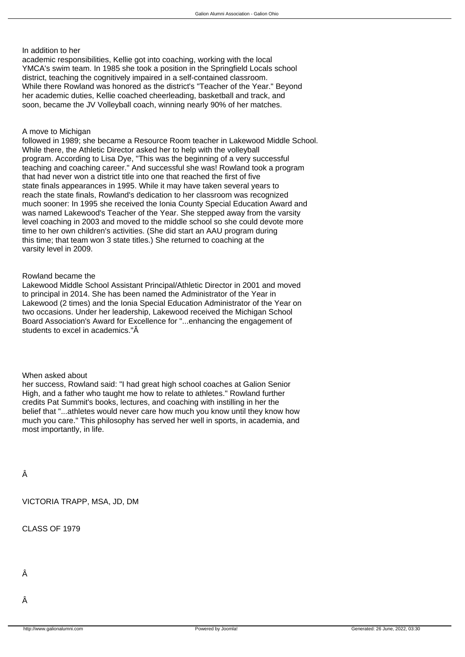### In addition to her

academic responsibilities, Kellie got into coaching, working with the local YMCA's swim team. In 1985 she took a position in the Springfield Locals school district, teaching the cognitively impaired in a self-contained classroom. While there Rowland was honored as the district's "Teacher of the Year." Beyond her academic duties, Kellie coached cheerleading, basketball and track, and soon, became the JV Volleyball coach, winning nearly 90% of her matches.

# A move to Michigan

followed in 1989; she became a Resource Room teacher in Lakewood Middle School. While there, the Athletic Director asked her to help with the volleyball program. According to Lisa Dye, "This was the beginning of a very successful teaching and coaching career." And successful she was! Rowland took a program that had never won a district title into one that reached the first of five state finals appearances in 1995. While it may have taken several years to reach the state finals, Rowland's dedication to her classroom was recognized much sooner: In 1995 she received the Ionia County Special Education Award and was named Lakewood's Teacher of the Year. She stepped away from the varsity level coaching in 2003 and moved to the middle school so she could devote more time to her own children's activities. (She did start an AAU program during this time; that team won 3 state titles.) She returned to coaching at the varsity level in 2009.

### Rowland became the

Lakewood Middle School Assistant Principal/Athletic Director in 2001 and moved to principal in 2014. She has been named the Administrator of the Year in Lakewood (2 times) and the Ionia Special Education Administrator of the Year on two occasions. Under her leadership, Lakewood received the Michigan School Board Association's Award for Excellence for "...enhancing the engagement of students to excel in academics."Â

### When asked about

her success, Rowland said: "I had great high school coaches at Galion Senior High, and a father who taught me how to relate to athletes." Rowland further credits Pat Summit's books, lectures, and coaching with instilling in her the belief that "...athletes would never care how much you know until they know how much you care." This philosophy has served her well in sports, in academia, and most importantly, in life.

Â

VICTORIA TRAPP, MSA, JD, DM

CLASS OF 1979

Â

Â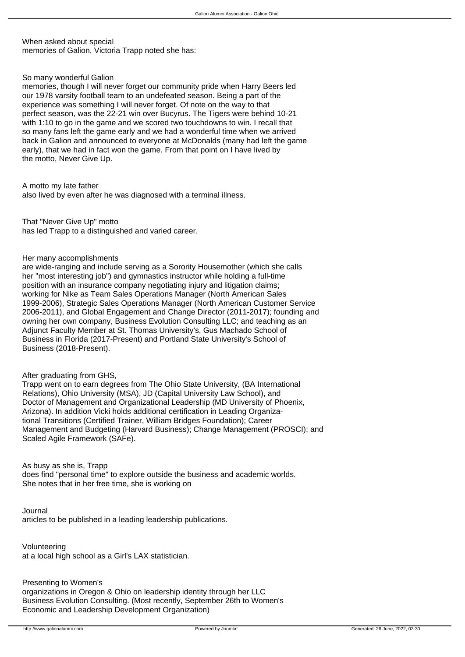When asked about special memories of Galion, Victoria Trapp noted she has:

So many wonderful Galion

memories, though I will never forget our community pride when Harry Beers led our 1978 varsity football team to an undefeated season. Being a part of the experience was something I will never forget. Of note on the way to that perfect season, was the 22-21 win over Bucyrus. The Tigers were behind 10-21 with 1:10 to go in the game and we scored two touchdowns to win. I recall that so many fans left the game early and we had a wonderful time when we arrived back in Galion and announced to everyone at McDonalds (many had left the game early), that we had in fact won the game. From that point on I have lived by the motto, Never Give Up.

A motto my late father also lived by even after he was diagnosed with a terminal illness.

That "Never Give Up" motto has led Trapp to a distinguished and varied career.

Her many accomplishments

are wide-ranging and include serving as a Sorority Housemother (which she calls her "most interesting job") and gymnastics instructor while holding a full-time position with an insurance company negotiating injury and litigation claims; working for Nike as Team Sales Operations Manager (North American Sales 1999-2006), Strategic Sales Operations Manager (North American Customer Service 2006-2011), and Global Engagement and Change Director (2011-2017); founding and owning her own company, Business Evolution Consulting LLC; and teaching as an Adjunct Faculty Member at St. Thomas University's, Gus Machado School of Business in Florida (2017-Present) and Portland State University's School of Business (2018-Present).

# After graduating from GHS,

Trapp went on to earn degrees from The Ohio State University, (BA International Relations), Ohio University (MSA), JD (Capital University Law School), and Doctor of Management and Organizational Leadership (MD University of Phoenix, Arizona). In addition Vicki holds additional certification in Leading Organiza tional Transitions (Certified Trainer, William Bridges Foundation); Career Management and Budgeting (Harvard Business); Change Management (PROSCI); and Scaled Agile Framework (SAFe).

As busy as she is, Trapp

does find "personal time" to explore outside the business and academic worlds. She notes that in her free time, she is working on

Journal articles to be published in a leading leadership publications.

Volunteering at a local high school as a Girl's LAX statistician.

Presenting to Women's organizations in Oregon & Ohio on leadership identity through her LLC Business Evolution Consulting. (Most recently, September 26th to Women's Economic and Leadership Development Organization)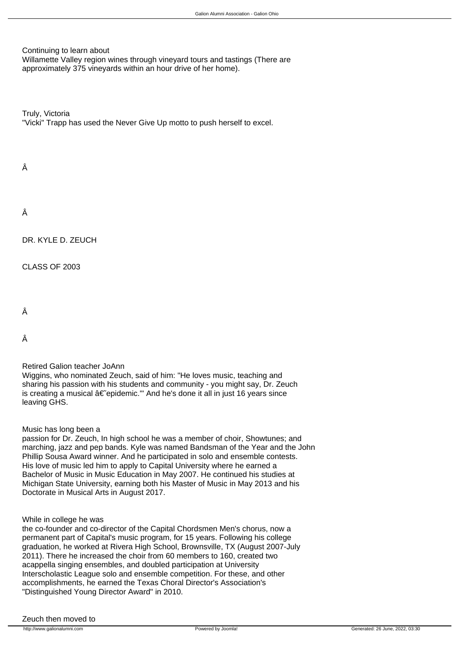Continuing to learn about

Willamette Valley region wines through vinevard tours and tastings (There are approximately 375 vineyards within an hour drive of her home).

Truly, Victoria "Vicki" Trapp has used the Never Give Up motto to push herself to excel.

# Â

DR. KYLE D. ZEUCH

CLASS OF 2003

Â

Â

# Retired Galion teacher JoAnn

Wiggins, who nominated Zeuch, said of him: "He loves music, teaching and sharing his passion with his students and community - you might say, Dr. Zeuch is creating a musical  $\hat{a} \in \hat{c}$  epidemic." And he's done it all in just 16 years since leaving GHS.

# Music has long been a

passion for Dr. Zeuch, In high school he was a member of choir, Showtunes; and marching, jazz and pep bands. Kyle was named Bandsman of the Year and the John Phillip Sousa Award winner. And he participated in solo and ensemble contests. His love of music led him to apply to Capital University where he earned a Bachelor of Music in Music Education in May 2007. He continued his studies at Michigan State University, earning both his Master of Music in May 2013 and his Doctorate in Musical Arts in August 2017.

# While in college he was

the co-founder and co-director of the Capital Chordsmen Men's chorus, now a permanent part of Capital's music program, for 15 years. Following his college graduation, he worked at Rivera High School, Brownsville, TX (August 2007-July 2011). There he increased the choir from 60 members to 160, created two acappella singing ensembles, and doubled participation at University Interscholastic League solo and ensemble competition. For these, and other accomplishments, he earned the Texas Choral Director's Association's "Distinguished Young Director Award" in 2010.